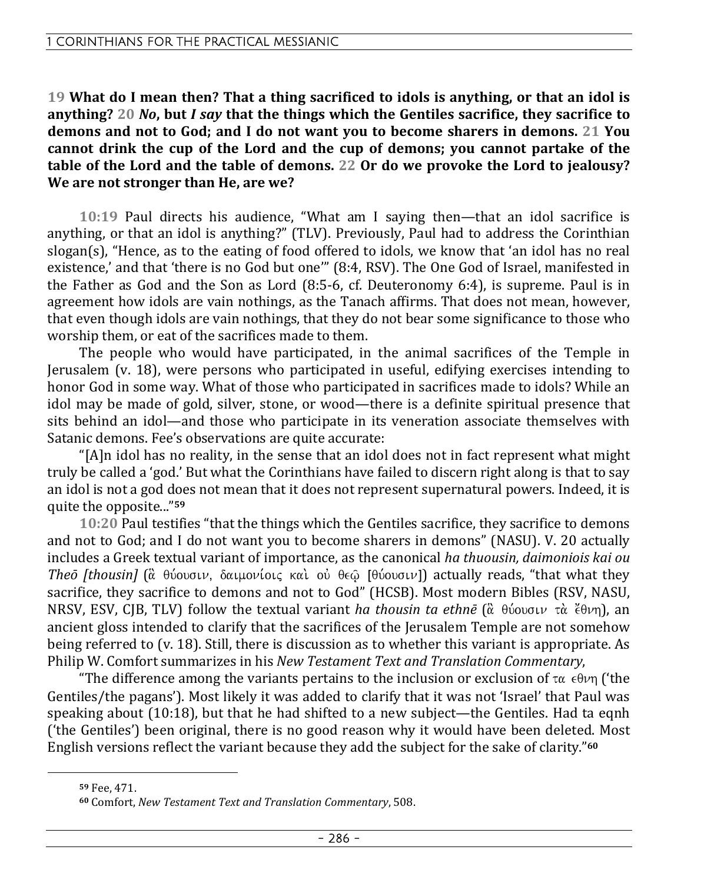**19 What do I mean then? That a thing sacrificed to idols is anything, or that an idol is anything? 20** *No***, but** *I say* **that the things which the Gentiles sacrifice, they sacrifice to demons and not to God; and I do not want you to become sharers in demons. 21 You cannot drink the cup of the Lord and the cup of demons; you cannot partake of the table of the Lord and the table of demons. 22 Or do we provoke the Lord to jealousy? We are not stronger than He, are we?** 

**10:19** Paul directs his audience, "What am I saying then—that an idol sacrifice is anything, or that an idol is anything?" (TLV). Previously, Paul had to address the Corinthian slogan(s), "Hence, as to the eating of food offered to idols, we know that 'an idol has no real existence,' and that 'there is no God but one'" (8:4, RSV). The One God of Israel, manifested in the Father as God and the Son as Lord (8:5-6, cf. Deuteronomy 6:4), is supreme. Paul is in agreement how idols are vain nothings, as the Tanach affirms. That does not mean, however, that even though idols are vain nothings, that they do not bear some significance to those who worship them, or eat of the sacrifices made to them.

The people who would have participated, in the animal sacrifices of the Temple in Jerusalem (v. 18), were persons who participated in useful, edifying exercises intending to honor God in some way. What of those who participated in sacrifices made to idols? While an idol may be made of gold, silver, stone, or wood—there is a definite spiritual presence that sits behind an idol—and those who participate in its veneration associate themselves with Satanic demons. Fee's observations are quite accurate:

"[A]n idol has no reality, in the sense that an idol does not in fact represent what might truly be called a 'god.' But what the Corinthians have failed to discern right along is that to say an idol is not a god does not mean that it does not represent supernatural powers. Indeed, it is quite the opposite..."**<sup>59</sup>**

**10:20** Paul testifies "that the things which the Gentiles sacrifice, they sacrifice to demons and not to God; and I do not want you to become sharers in demons" (NASU). V. 20 actually includes a Greek textual variant of importance, as the canonical *ha thuousin, daimoniois kai ou Theō [thousin]* ( $\alpha$  θύουσιν, δαιμονίοις και ου θεώ [θύουσιν]) actually reads, "that what they sacrifice, they sacrifice to demons and not to God" (HCSB). Most modern Bibles (RSV, NASU, NRSV, ESV, CJB, TLV) follow the textual variant *ha thousin ta ethne* ( $\alpha$  θύουσιν τα *ζ*θνη), an ancient gloss intended to clarify that the sacrifices of the Jerusalem Temple are not somehow being referred to (v. 18). Still, there is discussion as to whether this variant is appropriate. As Philip W. Comfort summarizes in his *New Testament Text and Translation Commentary*,

"The difference among the variants pertains to the inclusion or exclusion of  $\tau\alpha \in \theta \nu\eta$  ('the Gentiles/the pagans'). Most likely it was added to clarify that it was not 'Israel' that Paul was speaking about (10:18), but that he had shifted to a new subject—the Gentiles. Had ta eqnh ('the Gentiles') been original, there is no good reason why it would have been deleted. Most English versions reflect the variant because they add the subject for the sake of clarity."**<sup>60</sup>**

**<sup>59</sup>** Fee, 471.

**<sup>60</sup>** Comfort, *New Testament Text and Translation Commentary*, 508.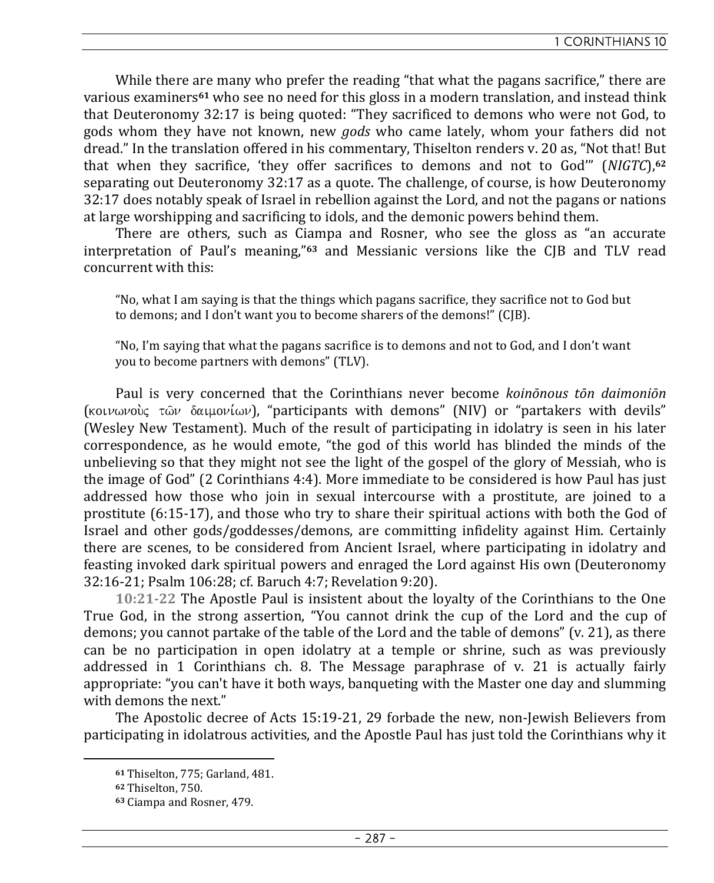While there are many who prefer the reading "that what the pagans sacrifice," there are various examiners**61** who see no need for this gloss in a modern translation, and instead think that Deuteronomy 32:17 is being quoted: "They sacrificed to demons who were not God, to gods whom they have not known, new *gods* who came lately, whom your fathers did not dread." In the translation offered in his commentary, Thiselton renders v. 20 as, "Not that! But that when they sacrifice, 'they offer sacrifices to demons and not to God'" (*NIGTC*),**<sup>62</sup>** separating out Deuteronomy 32:17 as a quote. The challenge, of course, is how Deuteronomy 32:17 does notably speak of Israel in rebellion against the Lord, and not the pagans or nations at large worshipping and sacrificing to idols, and the demonic powers behind them.

There are others, such as Ciampa and Rosner, who see the gloss as "an accurate interpretation of Paul's meaning,"**63** and Messianic versions like the CJB and TLV read concurrent with this:

"No, what I am saying is that the things which pagans sacrifice, they sacrifice not to God but to demons; and I don't want you to become sharers of the demons!" (CJB).

"No, I'm saying that what the pagans sacrifice is to demons and not to God, and I don't want you to become partners with demons" (TLV).

Paul is very concerned that the Corinthians never become *koinōnous tōn daimoniōn*  $\alpha$  (kot two voic  $\alpha$   $\alpha$   $\beta$   $\alpha$   $\beta$  of  $\alpha$ ), "participants with demons" (NIV) or "partakers with devils" (Wesley New Testament). Much of the result of participating in idolatry is seen in his later correspondence, as he would emote, "the god of this world has blinded the minds of the unbelieving so that they might not see the light of the gospel of the glory of Messiah, who is the image of God" (2 Corinthians 4:4). More immediate to be considered is how Paul has just addressed how those who join in sexual intercourse with a prostitute, are joined to a prostitute (6:15-17), and those who try to share their spiritual actions with both the God of Israel and other gods/goddesses/demons, are committing infidelity against Him. Certainly there are scenes, to be considered from Ancient Israel, where participating in idolatry and feasting invoked dark spiritual powers and enraged the Lord against His own (Deuteronomy 32:16-21; Psalm 106:28; cf. Baruch 4:7; Revelation 9:20).

**10:21-22** The Apostle Paul is insistent about the loyalty of the Corinthians to the One True God, in the strong assertion, "You cannot drink the cup of the Lord and the cup of demons; you cannot partake of the table of the Lord and the table of demons" (v. 21), as there can be no participation in open idolatry at a temple or shrine, such as was previously addressed in 1 Corinthians ch. 8. The Message paraphrase of v. 21 is actually fairly appropriate: "you can't have it both ways, banqueting with the Master one day and slumming with demons the next."

The Apostolic decree of Acts 15:19-21, 29 forbade the new, non-Jewish Believers from participating in idolatrous activities, and the Apostle Paul has just told the Corinthians why it

**<sup>61</sup>** Thiselton, 775; Garland, 481.

**<sup>62</sup>** Thiselton, 750.

**<sup>63</sup>** Ciampa and Rosner, 479.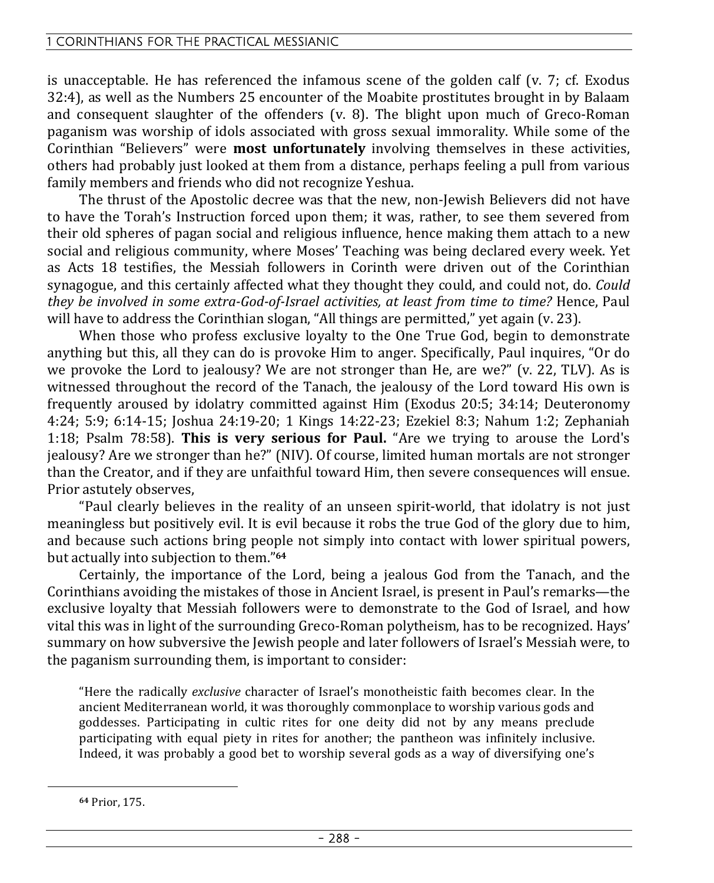is unacceptable. He has referenced the infamous scene of the golden calf (v. 7; cf. Exodus 32:4), as well as the Numbers 25 encounter of the Moabite prostitutes brought in by Balaam and consequent slaughter of the offenders (v. 8). The blight upon much of Greco-Roman paganism was worship of idols associated with gross sexual immorality. While some of the Corinthian "Believers" were **most unfortunately** involving themselves in these activities, others had probably just looked at them from a distance, perhaps feeling a pull from various family members and friends who did not recognize Yeshua.

The thrust of the Apostolic decree was that the new, non-Jewish Believers did not have to have the Torah's Instruction forced upon them; it was, rather, to see them severed from their old spheres of pagan social and religious influence, hence making them attach to a new social and religious community, where Moses' Teaching was being declared every week. Yet as Acts 18 testifies, the Messiah followers in Corinth were driven out of the Corinthian synagogue, and this certainly affected what they thought they could, and could not, do. *Could they be involved in some extra-God-of-Israel activities, at least from time to time?* Hence, Paul will have to address the Corinthian slogan, "All things are permitted," yet again (v. 23).

When those who profess exclusive loyalty to the One True God, begin to demonstrate anything but this, all they can do is provoke Him to anger. Specifically, Paul inquires, "Or do we provoke the Lord to jealousy? We are not stronger than He, are we?" (v. 22, TLV). As is witnessed throughout the record of the Tanach, the jealousy of the Lord toward His own is frequently aroused by idolatry committed against Him (Exodus 20:5; 34:14; Deuteronomy 4:24; 5:9; 6:14-15; Joshua 24:19-20; 1 Kings 14:22-23; Ezekiel 8:3; Nahum 1:2; Zephaniah 1:18; Psalm 78:58). **This is very serious for Paul.** "Are we trying to arouse the Lord's jealousy? Are we stronger than he?" (NIV). Of course, limited human mortals are not stronger than the Creator, and if they are unfaithful toward Him, then severe consequences will ensue. Prior astutely observes,

"Paul clearly believes in the reality of an unseen spirit-world, that idolatry is not just meaningless but positively evil. It is evil because it robs the true God of the glory due to him, and because such actions bring people not simply into contact with lower spiritual powers, but actually into subjection to them."**<sup>64</sup>**

Certainly, the importance of the Lord, being a jealous God from the Tanach, and the Corinthians avoiding the mistakes of those in Ancient Israel, is present in Paul's remarks—the exclusive loyalty that Messiah followers were to demonstrate to the God of Israel, and how vital this was in light of the surrounding Greco-Roman polytheism, has to be recognized. Hays' summary on how subversive the Jewish people and later followers of Israel's Messiah were, to the paganism surrounding them, is important to consider:

"Here the radically *exclusive* character of Israel's monotheistic faith becomes clear. In the ancient Mediterranean world, it was thoroughly commonplace to worship various gods and goddesses. Participating in cultic rites for one deity did not by any means preclude participating with equal piety in rites for another; the pantheon was infinitely inclusive. Indeed, it was probably a good bet to worship several gods as a way of diversifying one's

**<sup>64</sup>** Prior, 175.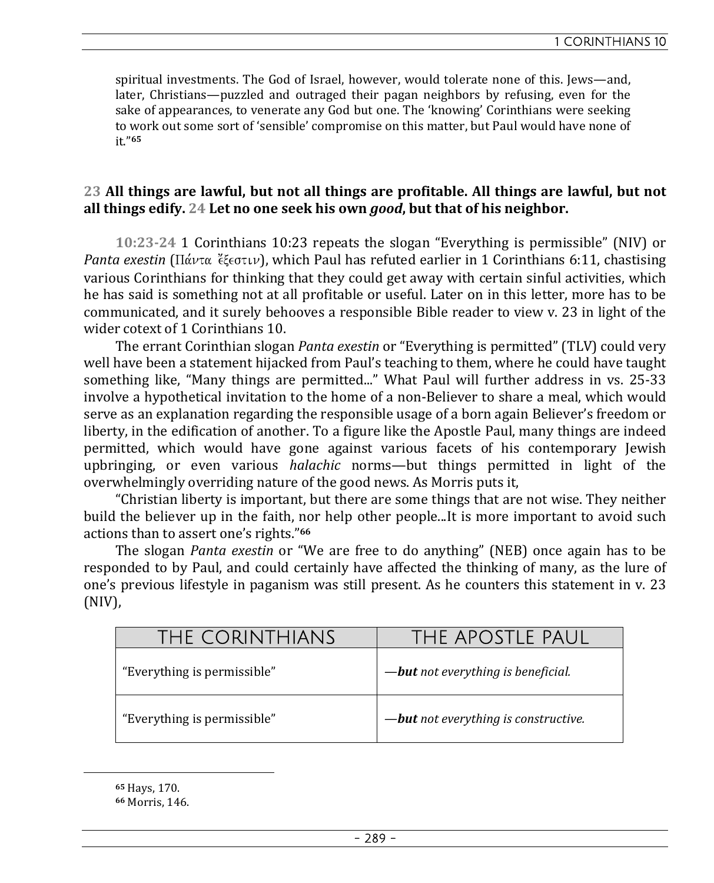spiritual investments. The God of Israel, however, would tolerate none of this. Jews—and, later, Christians—puzzled and outraged their pagan neighbors by refusing, even for the sake of appearances, to venerate any God but one. The 'knowing' Corinthians were seeking to work out some sort of 'sensible' compromise on this matter, but Paul would have none of it."**<sup>65</sup>**

# **23 All things are lawful, but not all things are profitable. All things are lawful, but not all things edify. 24 Let no one seek his own** *good***, but that of his neighbor.**

**10:23-24** 1 Corinthians 10:23 repeats the slogan "Everything is permissible" (NIV) or *Panta exestin* ( $\Pi \acute{\alpha} \nu \tau \alpha$  eta<sub> $\sigma \nu$ </sub>), which Paul has refuted earlier in 1 Corinthians 6:11, chastising various Corinthians for thinking that they could get away with certain sinful activities, which he has said is something not at all profitable or useful. Later on in this letter, more has to be communicated, and it surely behooves a responsible Bible reader to view v. 23 in light of the wider cotext of 1 Corinthians 10.

The errant Corinthian slogan *Panta exestin* or "Everything is permitted" (TLV) could very well have been a statement hijacked from Paul's teaching to them, where he could have taught something like, "Many things are permitted..." What Paul will further address in vs. 25-33 involve a hypothetical invitation to the home of a non-Believer to share a meal, which would serve as an explanation regarding the responsible usage of a born again Believer's freedom or liberty, in the edification of another. To a figure like the Apostle Paul, many things are indeed permitted, which would have gone against various facets of his contemporary Jewish upbringing, or even various *halachic* norms—but things permitted in light of the overwhelmingly overriding nature of the good news. As Morris puts it,

"Christian liberty is important, but there are some things that are not wise. They neither build the believer up in the faith, nor help other people...It is more important to avoid such actions than to assert one's rights."**<sup>66</sup>**

The slogan *Panta exestin* or "We are free to do anything" (NEB) once again has to be responded to by Paul, and could certainly have affected the thinking of many, as the lure of one's previous lifestyle in paganism was still present. As he counters this statement in v. 23 (NIV),

| THE CORINTHIANS             | THE APOSTLE PAUL                           |
|-----------------------------|--------------------------------------------|
| "Everything is permissible" | - <b>but</b> not everything is beneficial. |
| "Everything is permissible" | -but not everything is constructive.       |

**<sup>65</sup>** Hays, 170.

**<sup>66</sup>** Morris, 146.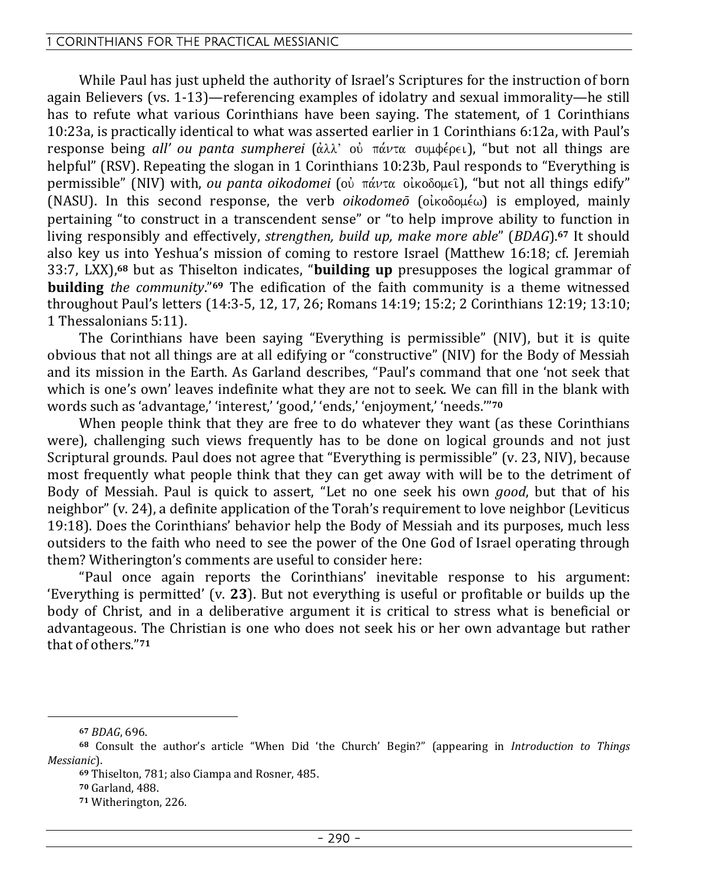While Paul has just upheld the authority of Israel's Scriptures for the instruction of born again Believers (vs. 1-13)—referencing examples of idolatry and sexual immorality—he still has to refute what various Corinthians have been saying. The statement, of 1 Corinthians 10:23a, is practically identical to what was asserted earlier in 1 Corinthians 6:12a, with Paul's response being *all' ou panta sumpherei* (άλλ' οὐ πάντα συμφέρει), "but not all things are helpful" (RSV). Repeating the slogan in 1 Corinthians 10:23b, Paul responds to "Everything is permissible" (NIV) with, *ou panta oikodomei* (οὐ πάντα οἰκοδομεῖ), "but not all things edify" (NASU). In this second response, the verb *oikodomeō* ( $o$ *ikoooué*) is employed, mainly pertaining "to construct in a transcendent sense" or "to help improve ability to function in living responsibly and effectively, *strengthen, build up, make more able*" (*BDAG*).**67** It should also key us into Yeshua's mission of coming to restore Israel (Matthew 16:18; cf. Jeremiah 33:7, LXX),**68** but as Thiselton indicates, "**building up** presupposes the logical grammar of **building** *the community*."**69** The edification of the faith community is a theme witnessed throughout Paul's letters (14:3-5, 12, 17, 26; Romans 14:19; 15:2; 2 Corinthians 12:19; 13:10; 1 Thessalonians 5:11).

The Corinthians have been saying "Everything is permissible" (NIV), but it is quite obvious that not all things are at all edifying or "constructive" (NIV) for the Body of Messiah and its mission in the Earth. As Garland describes, "Paul's command that one 'not seek that which is one's own' leaves indefinite what they are not to seek. We can fill in the blank with words such as 'advantage,' 'interest,' 'good,' 'ends,' 'enjoyment,' 'needs.'"**<sup>70</sup>**

When people think that they are free to do whatever they want (as these Corinthians were), challenging such views frequently has to be done on logical grounds and not just Scriptural grounds. Paul does not agree that "Everything is permissible" (v. 23, NIV), because most frequently what people think that they can get away with will be to the detriment of Body of Messiah. Paul is quick to assert, "Let no one seek his own *good*, but that of his neighbor" (v. 24), a definite application of the Torah's requirement to love neighbor (Leviticus 19:18). Does the Corinthians' behavior help the Body of Messiah and its purposes, much less outsiders to the faith who need to see the power of the One God of Israel operating through them? Witherington's comments are useful to consider here:

"Paul once again reports the Corinthians' inevitable response to his argument: 'Everything is permitted' (v. **23**). But not everything is useful or profitable or builds up the body of Christ, and in a deliberative argument it is critical to stress what is beneficial or advantageous. The Christian is one who does not seek his or her own advantage but rather that of others."**<sup>71</sup>**

**<sup>67</sup>** *BDAG*, 696.

**<sup>68</sup>** Consult the author's article "When Did 'the Church' Begin?" (appearing in *Introduction to Things Messianic*).

**<sup>69</sup>** Thiselton, 781; also Ciampa and Rosner, 485.

**<sup>70</sup>** Garland, 488.

**<sup>71</sup>** Witherington, 226.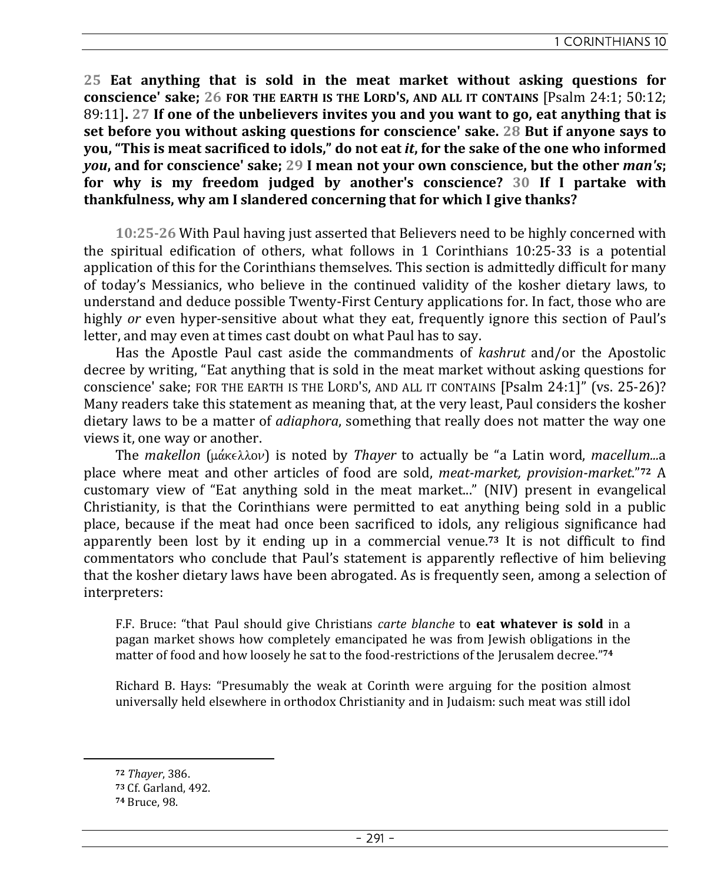**25 Eat anything that is sold in the meat market without asking questions for conscience' sake: 26 FOR THE EARTH IS THE LORD'S, AND ALL IT CONTAINS [Psalm 24:1: 50:12:** 89:11]**. 27 If one of the unbelievers invites you and you want to go, eat anything that is set before you without asking questions for conscience' sake. 28 But if anyone says to you, "This is meat sacrificed to idols," do not eat** *it***, for the sake of the one who informed**  *you***, and for conscience' sake; 29 I mean not your own conscience, but the other** *man's***; for why is my freedom judged by another's conscience? 30 If I partake with thankfulness, why am I slandered concerning that for which I give thanks?** 

**10:25-26** With Paul having just asserted that Believers need to be highly concerned with the spiritual edification of others, what follows in 1 Corinthians 10:25-33 is a potential application of this for the Corinthians themselves. This section is admittedly difficult for many of today's Messianics, who believe in the continued validity of the kosher dietary laws, to understand and deduce possible Twenty-First Century applications for. In fact, those who are highly *or* even hyper-sensitive about what they eat, frequently ignore this section of Paul's letter, and may even at times cast doubt on what Paul has to say.

Has the Apostle Paul cast aside the commandments of *kashrut* and/or the Apostolic decree by writing, "Eat anything that is sold in the meat market without asking questions for conscience' sake; FOR THE EARTH IS THE LORD'S, AND ALL IT CONTAINS [Psalm 24:1]" (vs. 25-26)? Many readers take this statement as meaning that, at the very least, Paul considers the kosher dietary laws to be a matter of *adiaphora*, something that really does not matter the way one views it, one way or another.

The *makellon* (μάκελλον) is noted by *Thayer* to actually be "a Latin word, *macellum...*a place where meat and other articles of food are sold, *meat-market, provision-market*."**72** A customary view of "Eat anything sold in the meat market..." (NIV) present in evangelical Christianity, is that the Corinthians were permitted to eat anything being sold in a public place, because if the meat had once been sacrificed to idols, any religious significance had apparently been lost by it ending up in a commercial venue.**73** It is not difficult to find commentators who conclude that Paul's statement is apparently reflective of him believing that the kosher dietary laws have been abrogated. As is frequently seen, among a selection of interpreters:

F.F. Bruce: "that Paul should give Christians *carte blanche* to **eat whatever is sold** in a pagan market shows how completely emancipated he was from Jewish obligations in the matter of food and how loosely he sat to the food-restrictions of the Jerusalem decree."**<sup>74</sup>**

Richard B. Hays: "Presumably the weak at Corinth were arguing for the position almost universally held elsewhere in orthodox Christianity and in Judaism: such meat was still idol

**<sup>72</sup>** *Thayer*, 386.

**<sup>73</sup>** Cf. Garland, 492.

**<sup>74</sup>** Bruce, 98.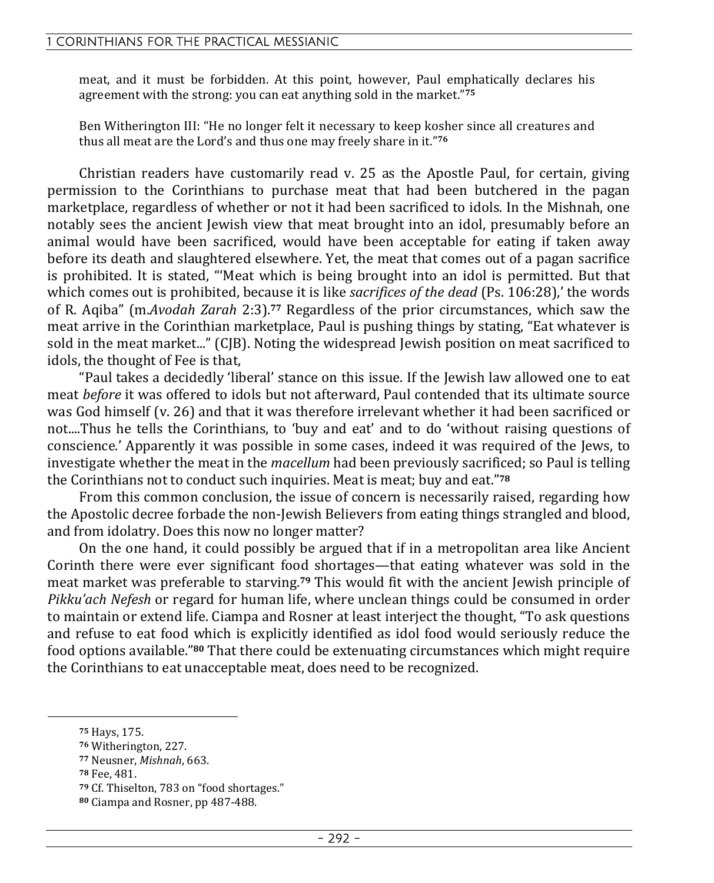meat, and it must be forbidden. At this point, however, Paul emphatically declares his agreement with the strong: you can eat anything sold in the market."**<sup>75</sup>**

Ben Witherington III: "He no longer felt it necessary to keep kosher since all creatures and thus all meat are the Lord's and thus one may freely share in it."**<sup>76</sup>**

Christian readers have customarily read v. 25 as the Apostle Paul, for certain, giving permission to the Corinthians to purchase meat that had been butchered in the pagan marketplace, regardless of whether or not it had been sacrificed to idols. In the Mishnah, one notably sees the ancient Jewish view that meat brought into an idol, presumably before an animal would have been sacrificed, would have been acceptable for eating if taken away before its death and slaughtered elsewhere. Yet, the meat that comes out of a pagan sacrifice is prohibited. It is stated, "'Meat which is being brought into an idol is permitted. But that which comes out is prohibited, because it is like *sacrifices of the dead* (Ps. 106:28),' the words of R. Aqiba" (m.*Avodah Zarah* 2:3).**77** Regardless of the prior circumstances, which saw the meat arrive in the Corinthian marketplace, Paul is pushing things by stating, "Eat whatever is sold in the meat market..." (CJB). Noting the widespread Jewish position on meat sacrificed to idols, the thought of Fee is that,

"Paul takes a decidedly 'liberal' stance on this issue. If the Jewish law allowed one to eat meat *before* it was offered to idols but not afterward, Paul contended that its ultimate source was God himself (v. 26) and that it was therefore irrelevant whether it had been sacrificed or not....Thus he tells the Corinthians, to 'buy and eat' and to do 'without raising questions of conscience.' Apparently it was possible in some cases, indeed it was required of the Jews, to investigate whether the meat in the *macellum* had been previously sacrificed; so Paul is telling the Corinthians not to conduct such inquiries. Meat is meat; buy and eat."**<sup>78</sup>**

From this common conclusion, the issue of concern is necessarily raised, regarding how the Apostolic decree forbade the non-Jewish Believers from eating things strangled and blood, and from idolatry. Does this now no longer matter?

On the one hand, it could possibly be argued that if in a metropolitan area like Ancient Corinth there were ever significant food shortages—that eating whatever was sold in the meat market was preferable to starving.**79** This would fit with the ancient Jewish principle of *Pikku'ach Nefesh* or regard for human life, where unclean things could be consumed in order to maintain or extend life. Ciampa and Rosner at least interject the thought, "To ask questions and refuse to eat food which is explicitly identified as idol food would seriously reduce the food options available."**80** That there could be extenuating circumstances which might require the Corinthians to eat unacceptable meat, does need to be recognized.

**<sup>75</sup>** Hays, 175.

**<sup>76</sup>** Witherington, 227.

**<sup>77</sup>** Neusner, *Mishnah*, 663.

**<sup>78</sup>** Fee, 481.

**<sup>79</sup>** Cf. Thiselton, 783 on "food shortages."

**<sup>80</sup>** Ciampa and Rosner, pp 487-488.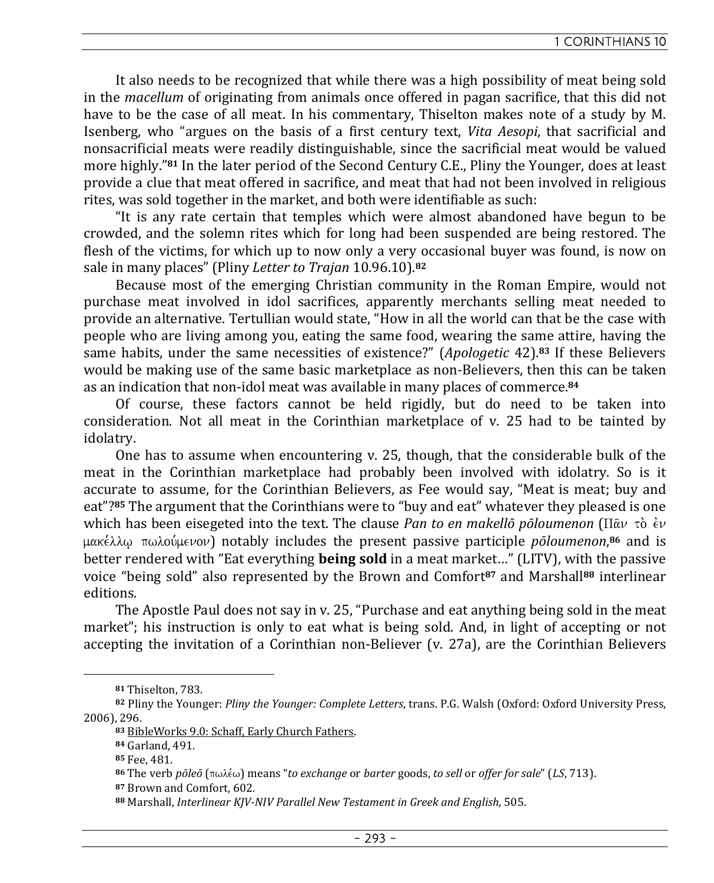It also needs to be recognized that while there was a high possibility of meat being sold in the *macellum* of originating from animals once offered in pagan sacrifice, that this did not have to be the case of all meat. In his commentary, Thiselton makes note of a study by M. Isenberg, who "argues on the basis of a first century text, *Vita Aesopi*, that sacrificial and nonsacrificial meats were readily distinguishable, since the sacrificial meat would be valued more highly."**81** In the later period of the Second Century C.E., Pliny the Younger, does at least provide a clue that meat offered in sacrifice, and meat that had not been involved in religious rites, was sold together in the market, and both were identifiable as such:

"It is any rate certain that temples which were almost abandoned have begun to be crowded, and the solemn rites which for long had been suspended are being restored. The flesh of the victims, for which up to now only a very occasional buyer was found, is now on sale in many places" (Pliny *Letter to Trajan* 10.96.10).**<sup>82</sup>**

Because most of the emerging Christian community in the Roman Empire, would not purchase meat involved in idol sacrifices, apparently merchants selling meat needed to provide an alternative. Tertullian would state, "How in all the world can that be the case with people who are living among you, eating the same food, wearing the same attire, having the same habits, under the same necessities of existence?" (*Apologetic* 42).**83** If these Believers would be making use of the same basic marketplace as non-Believers, then this can be taken as an indication that non-idol meat was available in many places of commerce.**<sup>84</sup>**

Of course, these factors cannot be held rigidly, but do need to be taken into consideration. Not all meat in the Corinthian marketplace of v. 25 had to be tainted by idolatry.

One has to assume when encountering v. 25, though, that the considerable bulk of the meat in the Corinthian marketplace had probably been involved with idolatry. So is it accurate to assume, for the Corinthian Believers, as Fee would say, "Meat is meat; buy and eat"?**85** The argument that the Corinthians were to "buy and eat" whatever they pleased is one which has been eisegeted into the text. The clause *Pan to en makellō pōloumenon* ( $\Pi \hat{\alpha} \nu \hat{\alpha} \hat{\epsilon} \nu$ μακέλλφ πωλούμενον) notably includes the present passive participle *pōloumenon*,<sup>86</sup> and is better rendered with "Eat everything **being sold** in a meat market…" (LITV), with the passive voice "being sold" also represented by the Brown and Comfort**87** and Marshall**88** interlinear editions.

The Apostle Paul does not say in v. 25, "Purchase and eat anything being sold in the meat market"; his instruction is only to eat what is being sold. And, in light of accepting or not accepting the invitation of a Corinthian non-Believer (v. 27a), are the Corinthian Believers

**<sup>81</sup>** Thiselton, 783.

**<sup>82</sup>** Pliny the Younger: *Pliny the Younger: Complete Letters*, trans. P.G. Walsh (Oxford: Oxford University Press, 2006), 296.

**<sup>83</sup>** BibleWorks 9.0: Schaff, Early Church Fathers.

**<sup>84</sup>** Garland, 491.

**<sup>85</sup>** Fee, 481.

**<sup>86</sup>** The verb *pōleō* (pwle,w) means "*to exchange* or *barter* goods, *to sell* or *offer for sale*" (*LS*, 713).

**<sup>87</sup>** Brown and Comfort, 602.

**<sup>88</sup>** Marshall, *Interlinear KJV-NIV Parallel New Testament in Greek and English*, 505.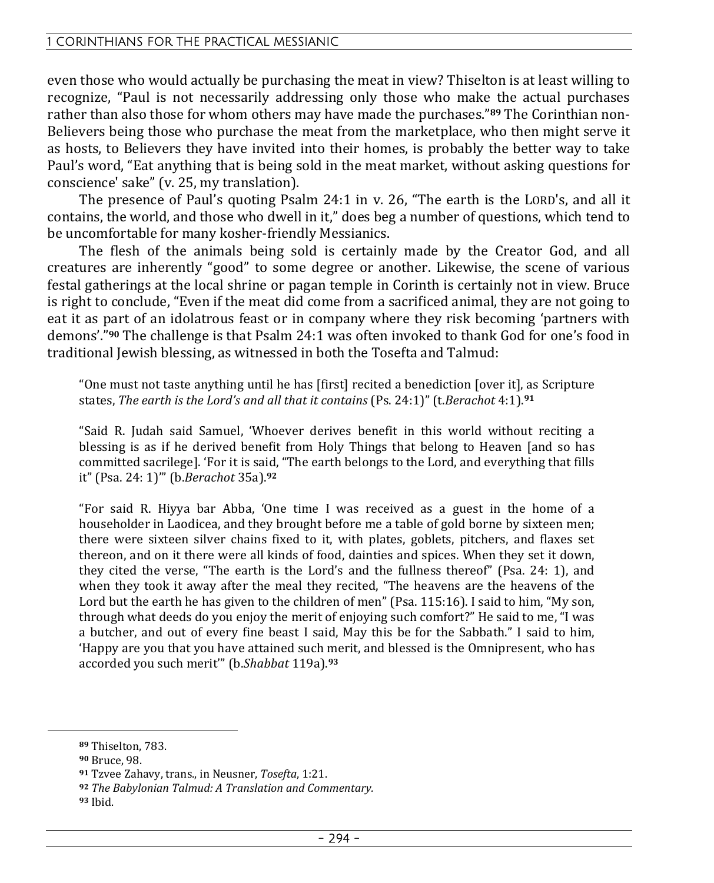even those who would actually be purchasing the meat in view? Thiselton is at least willing to recognize, "Paul is not necessarily addressing only those who make the actual purchases rather than also those for whom others may have made the purchases."**89** The Corinthian non-Believers being those who purchase the meat from the marketplace, who then might serve it as hosts, to Believers they have invited into their homes, is probably the better way to take Paul's word, "Eat anything that is being sold in the meat market, without asking questions for conscience' sake" (v. 25, my translation).

The presence of Paul's quoting Psalm 24:1 in v. 26, "The earth is the LORD's, and all it contains, the world, and those who dwell in it," does beg a number of questions, which tend to be uncomfortable for many kosher-friendly Messianics.

The flesh of the animals being sold is certainly made by the Creator God, and all creatures are inherently "good" to some degree or another. Likewise, the scene of various festal gatherings at the local shrine or pagan temple in Corinth is certainly not in view. Bruce is right to conclude, "Even if the meat did come from a sacrificed animal, they are not going to eat it as part of an idolatrous feast or in company where they risk becoming 'partners with demons'."**90** The challenge is that Psalm 24:1 was often invoked to thank God for one's food in traditional Jewish blessing, as witnessed in both the Tosefta and Talmud:

"One must not taste anything until he has [first] recited a benediction [over it], as Scripture states, *The earth is the Lord's and all that it contains* (Ps. 24:1)" (t.*Berachot* 4:1).**<sup>91</sup>**

"Said R. Judah said Samuel, 'Whoever derives benefit in this world without reciting a blessing is as if he derived benefit from Holy Things that belong to Heaven [and so has committed sacrilege]. 'For it is said, "The earth belongs to the Lord, and everything that fills it" (Psa. 24: 1)'" (b.*Berachot* 35a).**<sup>92</sup>**

"For said R. Hiyya bar Abba, 'One time I was received as a guest in the home of a householder in Laodicea, and they brought before me a table of gold borne by sixteen men; there were sixteen silver chains fixed to it, with plates, goblets, pitchers, and flaxes set thereon, and on it there were all kinds of food, dainties and spices. When they set it down, they cited the verse, "The earth is the Lord's and the fullness thereof" (Psa. 24: 1), and when they took it away after the meal they recited, "The heavens are the heavens of the Lord but the earth he has given to the children of men" (Psa. 115:16). I said to him, "My son, through what deeds do you enjoy the merit of enjoying such comfort?" He said to me, "I was a butcher, and out of every fine beast I said, May this be for the Sabbath." I said to him, 'Happy are you that you have attained such merit, and blessed is the Omnipresent, who has accorded you such merit'" (b.*Shabbat* 119a).**<sup>93</sup>**

**<sup>89</sup>** Thiselton, 783.

**<sup>90</sup>** Bruce, 98.

**<sup>91</sup>** Tzvee Zahavy, trans., in Neusner, *Tosefta*, 1:21.

**<sup>92</sup>** *The Babylonian Talmud: A Translation and Commentary.*

**<sup>93</sup>** Ibid.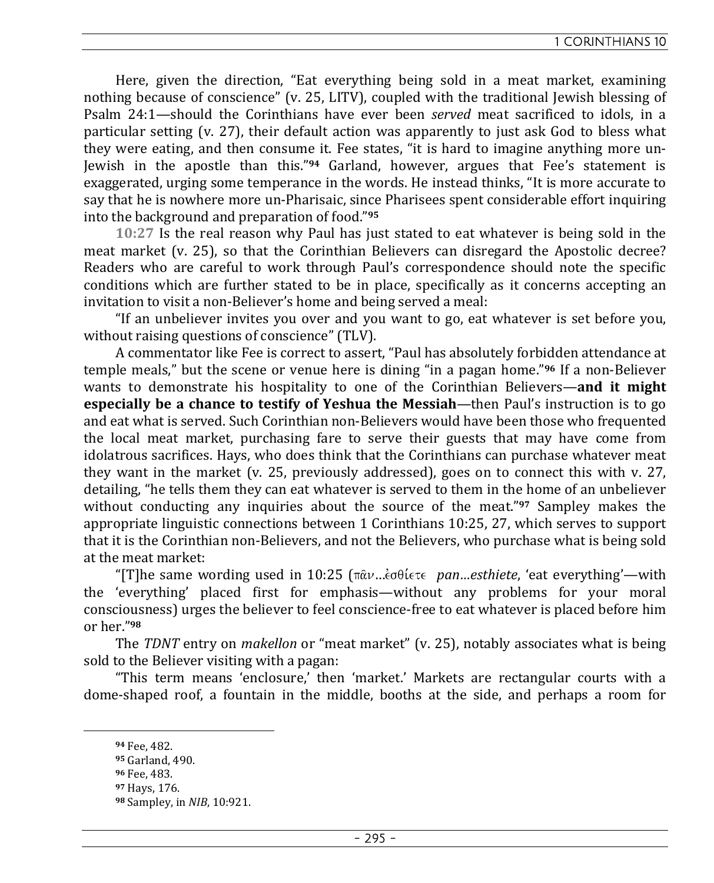Here, given the direction, "Eat everything being sold in a meat market, examining nothing because of conscience" (v. 25, LITV), coupled with the traditional Jewish blessing of Psalm 24:1—should the Corinthians have ever been *served* meat sacrificed to idols, in a particular setting (v. 27), their default action was apparently to just ask God to bless what they were eating, and then consume it. Fee states, "it is hard to imagine anything more un-Jewish in the apostle than this."**94** Garland, however, argues that Fee's statement is exaggerated, urging some temperance in the words. He instead thinks, "It is more accurate to say that he is nowhere more un-Pharisaic, since Pharisees spent considerable effort inquiring into the background and preparation of food."**<sup>95</sup>**

**10:27** Is the real reason why Paul has just stated to eat whatever is being sold in the meat market (v. 25), so that the Corinthian Believers can disregard the Apostolic decree? Readers who are careful to work through Paul's correspondence should note the specific conditions which are further stated to be in place, specifically as it concerns accepting an invitation to visit a non-Believer's home and being served a meal:

"If an unbeliever invites you over and you want to go, eat whatever is set before you, without raising questions of conscience" (TLV).

A commentator like Fee is correct to assert, "Paul has absolutely forbidden attendance at temple meals," but the scene or venue here is dining "in a pagan home."**96** If a non-Believer wants to demonstrate his hospitality to one of the Corinthian Believers—**and it might especially be a chance to testify of Yeshua the Messiah**—then Paul's instruction is to go and eat what is served. Such Corinthian non-Believers would have been those who frequented the local meat market, purchasing fare to serve their guests that may have come from idolatrous sacrifices. Hays, who does think that the Corinthians can purchase whatever meat they want in the market (v. 25, previously addressed), goes on to connect this with v. 27, detailing, "he tells them they can eat whatever is served to them in the home of an unbeliever without conducting any inquiries about the source of the meat."**97** Sampley makes the appropriate linguistic connections between 1 Corinthians 10:25, 27, which serves to support that it is the Corinthian non-Believers, and not the Believers, who purchase what is being sold at the meat market:

"[T]he same wording used in 10:25 ( $\pi \hat{\alpha} \nu ... \hat{\epsilon}$  $\sigma \theta \hat{\epsilon} \tau \in pan...$ *esthiete*, 'eat everything'—with the 'everything' placed first for emphasis—without any problems for your moral consciousness) urges the believer to feel conscience-free to eat whatever is placed before him or her."**<sup>98</sup>**

The *TDNT* entry on *makellon* or "meat market" (v. 25), notably associates what is being sold to the Believer visiting with a pagan:

"This term means 'enclosure,' then 'market.' Markets are rectangular courts with a dome-shaped roof, a fountain in the middle, booths at the side, and perhaps a room for

**<sup>94</sup>** Fee, 482.

**<sup>95</sup>** Garland, 490.

**<sup>96</sup>** Fee, 483.

**<sup>97</sup>** Hays, 176.

**<sup>98</sup>** Sampley, in *NIB*, 10:921.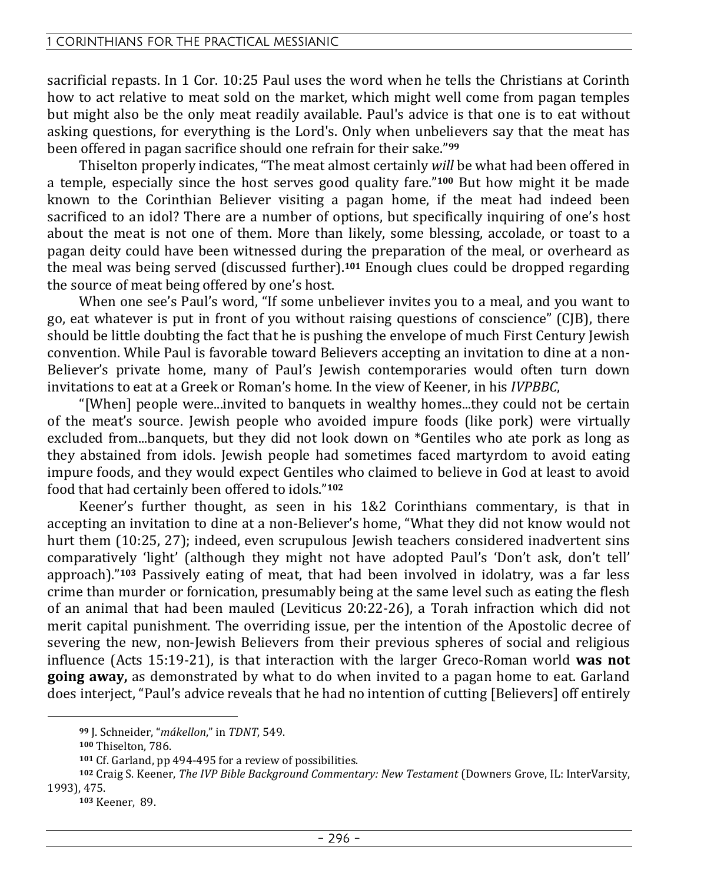sacrificial repasts. In 1 Cor. 10:25 Paul uses the word when he tells the Christians at Corinth how to act relative to meat sold on the market, which might well come from pagan temples but might also be the only meat readily available. Paul's advice is that one is to eat without asking questions, for everything is the Lord's. Only when unbelievers say that the meat has been offered in pagan sacrifice should one refrain for their sake."**<sup>99</sup>**

Thiselton properly indicates, "The meat almost certainly *will* be what had been offered in a temple, especially since the host serves good quality fare."**100** But how might it be made known to the Corinthian Believer visiting a pagan home, if the meat had indeed been sacrificed to an idol? There are a number of options, but specifically inquiring of one's host about the meat is not one of them. More than likely, some blessing, accolade, or toast to a pagan deity could have been witnessed during the preparation of the meal, or overheard as the meal was being served (discussed further).**101** Enough clues could be dropped regarding the source of meat being offered by one's host.

When one see's Paul's word, "If some unbeliever invites you to a meal, and you want to go, eat whatever is put in front of you without raising questions of conscience" (CJB), there should be little doubting the fact that he is pushing the envelope of much First Century Jewish convention. While Paul is favorable toward Believers accepting an invitation to dine at a non-Believer's private home, many of Paul's Jewish contemporaries would often turn down invitations to eat at a Greek or Roman's home. In the view of Keener, in his *IVPBBC*,

"[When] people were...invited to banquets in wealthy homes...they could not be certain of the meat's source. Jewish people who avoided impure foods (like pork) were virtually excluded from...banquets, but they did not look down on \*Gentiles who ate pork as long as they abstained from idols. Jewish people had sometimes faced martyrdom to avoid eating impure foods, and they would expect Gentiles who claimed to believe in God at least to avoid food that had certainly been offered to idols."**<sup>102</sup>**

Keener's further thought, as seen in his 1&2 Corinthians commentary, is that in accepting an invitation to dine at a non-Believer's home, "What they did not know would not hurt them (10:25, 27); indeed, even scrupulous Jewish teachers considered inadvertent sins comparatively 'light' (although they might not have adopted Paul's 'Don't ask, don't tell' approach)."**103** Passively eating of meat, that had been involved in idolatry, was a far less crime than murder or fornication, presumably being at the same level such as eating the flesh of an animal that had been mauled (Leviticus 20:22-26), a Torah infraction which did not merit capital punishment. The overriding issue, per the intention of the Apostolic decree of severing the new, non-Jewish Believers from their previous spheres of social and religious influence (Acts 15:19-21), is that interaction with the larger Greco-Roman world **was not going away,** as demonstrated by what to do when invited to a pagan home to eat. Garland does interject, "Paul's advice reveals that he had no intention of cutting [Believers] off entirely

**<sup>99</sup>** J. Schneider, "*mákellon*," in *TDNT*, 549.

**<sup>100</sup>** Thiselton, 786.

**<sup>101</sup>** Cf. Garland, pp 494-495 for a review of possibilities.

**<sup>102</sup>** Craig S. Keener, *The IVP Bible Background Commentary: New Testament* (Downers Grove, IL: InterVarsity, 1993), 475.

**<sup>103</sup>** Keener, 89.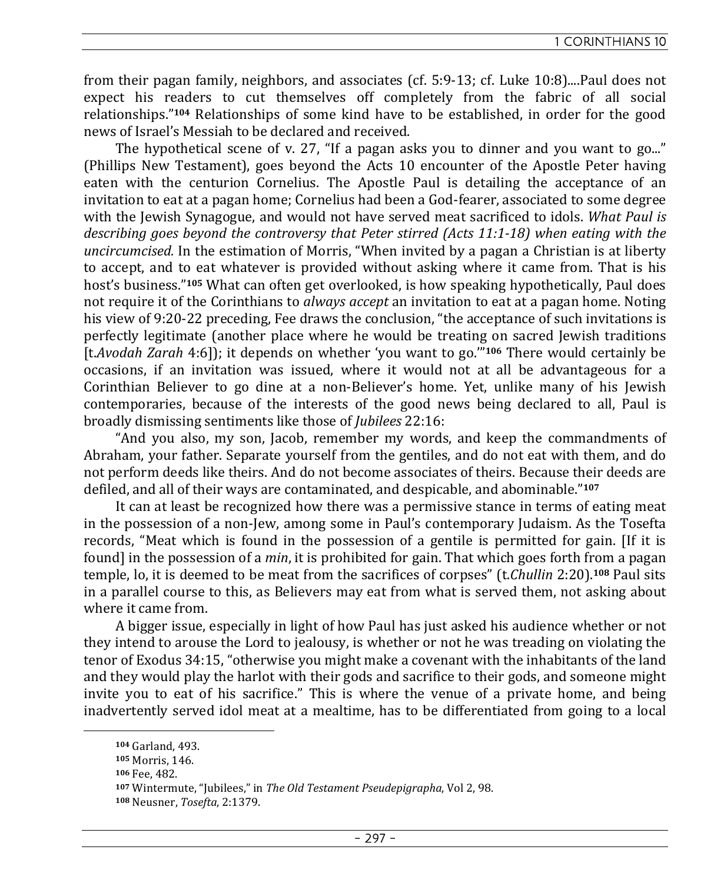from their pagan family, neighbors, and associates (cf. 5:9-13; cf. Luke 10:8)....Paul does not expect his readers to cut themselves off completely from the fabric of all social relationships."**104** Relationships of some kind have to be established, in order for the good news of Israel's Messiah to be declared and received.

The hypothetical scene of v. 27, "If a pagan asks you to dinner and you want to go..." (Phillips New Testament), goes beyond the Acts 10 encounter of the Apostle Peter having eaten with the centurion Cornelius. The Apostle Paul is detailing the acceptance of an invitation to eat at a pagan home; Cornelius had been a God-fearer, associated to some degree with the Jewish Synagogue, and would not have served meat sacrificed to idols. *What Paul is describing goes beyond the controversy that Peter stirred (Acts 11:1-18) when eating with the uncircumcised.* In the estimation of Morris, "When invited by a pagan a Christian is at liberty to accept, and to eat whatever is provided without asking where it came from. That is his host's business."**105** What can often get overlooked, is how speaking hypothetically, Paul does not require it of the Corinthians to *always accept* an invitation to eat at a pagan home. Noting his view of 9:20-22 preceding, Fee draws the conclusion, "the acceptance of such invitations is perfectly legitimate (another place where he would be treating on sacred Jewish traditions [t.*Avodah Zarah* 4:6]); it depends on whether 'you want to go.'"**106** There would certainly be occasions, if an invitation was issued, where it would not at all be advantageous for a Corinthian Believer to go dine at a non-Believer's home. Yet, unlike many of his Jewish contemporaries, because of the interests of the good news being declared to all, Paul is broadly dismissing sentiments like those of *Jubilees* 22:16:

"And you also, my son, Jacob, remember my words, and keep the commandments of Abraham, your father. Separate yourself from the gentiles, and do not eat with them, and do not perform deeds like theirs. And do not become associates of theirs. Because their deeds are defiled, and all of their ways are contaminated, and despicable, and abominable."**<sup>107</sup>**

It can at least be recognized how there was a permissive stance in terms of eating meat in the possession of a non-Jew, among some in Paul's contemporary Judaism. As the Tosefta records, "Meat which is found in the possession of a gentile is permitted for gain. [If it is found] in the possession of a *min*, it is prohibited for gain. That which goes forth from a pagan temple, lo, it is deemed to be meat from the sacrifices of corpses" (t.*Chullin* 2:20).**108** Paul sits in a parallel course to this, as Believers may eat from what is served them, not asking about where it came from.

A bigger issue, especially in light of how Paul has just asked his audience whether or not they intend to arouse the Lord to jealousy, is whether or not he was treading on violating the tenor of Exodus 34:15, "otherwise you might make a covenant with the inhabitants of the land and they would play the harlot with their gods and sacrifice to their gods, and someone might invite you to eat of his sacrifice." This is where the venue of a private home, and being inadvertently served idol meat at a mealtime, has to be differentiated from going to a local

**<sup>104</sup>** Garland, 493.

**<sup>105</sup>** Morris, 146.

**<sup>106</sup>** Fee, 482.

**<sup>107</sup>** Wintermute, "Jubilees," in *The Old Testament Pseudepigrapha*, Vol 2, 98.

**<sup>108</sup>** Neusner, *Tosefta*, 2:1379.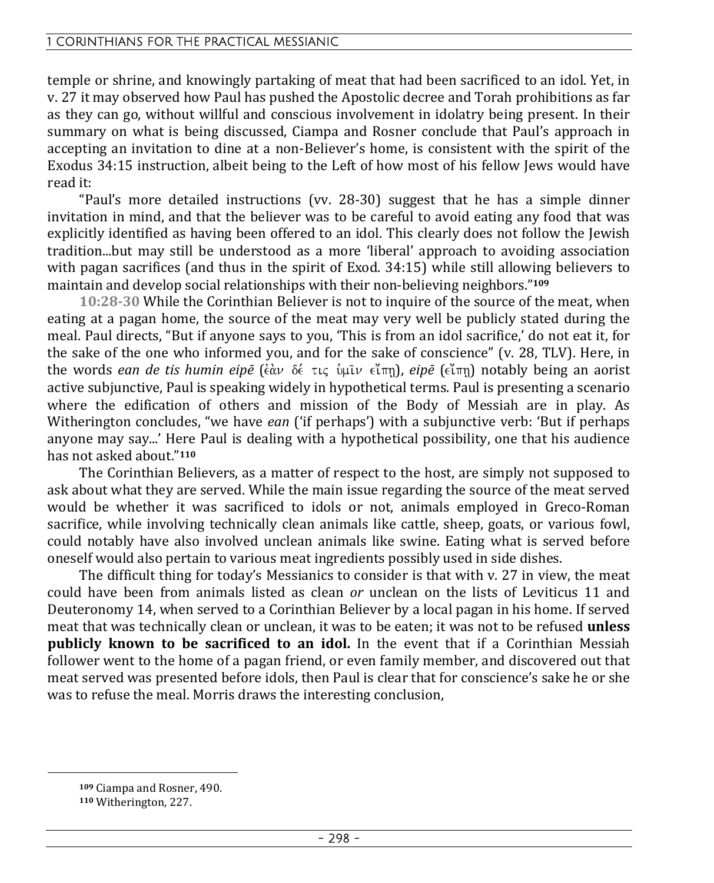temple or shrine, and knowingly partaking of meat that had been sacrificed to an idol. Yet, in v. 27 it may observed how Paul has pushed the Apostolic decree and Torah prohibitions as far as they can go, without willful and conscious involvement in idolatry being present. In their summary on what is being discussed, Ciampa and Rosner conclude that Paul's approach in accepting an invitation to dine at a non-Believer's home, is consistent with the spirit of the Exodus 34:15 instruction, albeit being to the Left of how most of his fellow Jews would have read it:

"Paul's more detailed instructions (vv. 28-30) suggest that he has a simple dinner invitation in mind, and that the believer was to be careful to avoid eating any food that was explicitly identified as having been offered to an idol. This clearly does not follow the Jewish tradition...but may still be understood as a more 'liberal' approach to avoiding association with pagan sacrifices (and thus in the spirit of Exod. 34:15) while still allowing believers to maintain and develop social relationships with their non-believing neighbors."**<sup>109</sup>**

**10:28-30** While the Corinthian Believer is not to inquire of the source of the meat, when eating at a pagan home, the source of the meat may very well be publicly stated during the meal. Paul directs, "But if anyone says to you, 'This is from an idol sacrifice,' do not eat it, for the sake of the one who informed you, and for the sake of conscience" (v. 28, TLV). Here, in the words *ean de tis humin eipē* (ἐὰν δέ τις ὑμῖν εἴπη), *eipē* (εἴπη) notably being an aorist active subjunctive, Paul is speaking widely in hypothetical terms. Paul is presenting a scenario where the edification of others and mission of the Body of Messiah are in play. As Witherington concludes, "we have *ean* ('if perhaps') with a subjunctive verb: 'But if perhaps anyone may say...' Here Paul is dealing with a hypothetical possibility, one that his audience has not asked about."**<sup>110</sup>**

The Corinthian Believers, as a matter of respect to the host, are simply not supposed to ask about what they are served. While the main issue regarding the source of the meat served would be whether it was sacrificed to idols or not, animals employed in Greco-Roman sacrifice, while involving technically clean animals like cattle, sheep, goats, or various fowl, could notably have also involved unclean animals like swine. Eating what is served before oneself would also pertain to various meat ingredients possibly used in side dishes.

The difficult thing for today's Messianics to consider is that with v. 27 in view, the meat could have been from animals listed as clean *or* unclean on the lists of Leviticus 11 and Deuteronomy 14, when served to a Corinthian Believer by a local pagan in his home. If served meat that was technically clean or unclean, it was to be eaten; it was not to be refused **unless publicly known to be sacrificed to an idol.** In the event that if a Corinthian Messiah follower went to the home of a pagan friend, or even family member, and discovered out that meat served was presented before idols, then Paul is clear that for conscience's sake he or she was to refuse the meal. Morris draws the interesting conclusion,

**<sup>109</sup>** Ciampa and Rosner, 490.

**<sup>110</sup>** Witherington, 227.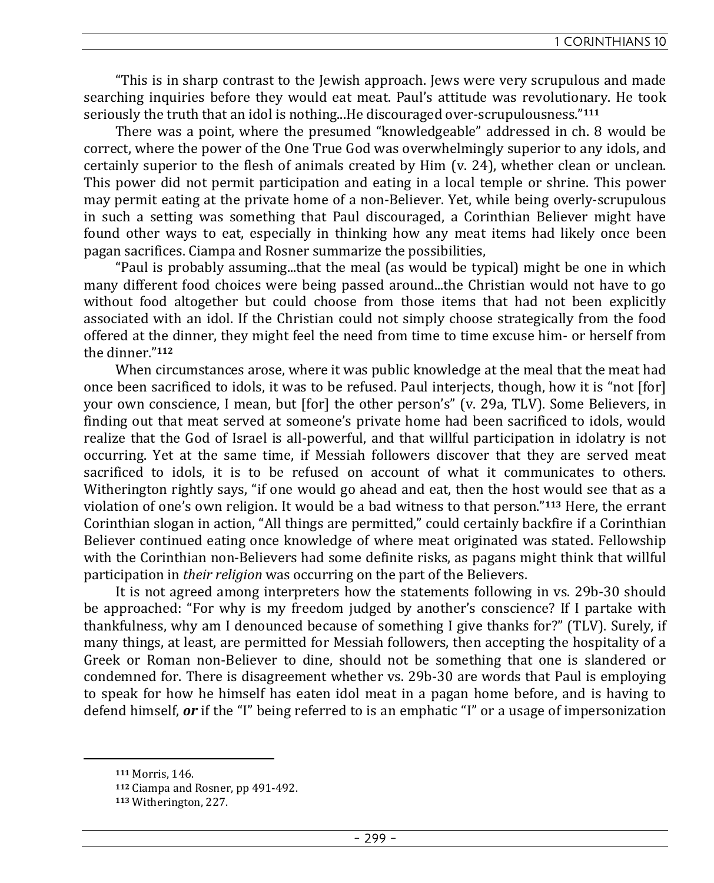"This is in sharp contrast to the Jewish approach. Jews were very scrupulous and made searching inquiries before they would eat meat. Paul's attitude was revolutionary. He took seriously the truth that an idol is nothing...He discouraged over-scrupulousness."**<sup>111</sup>**

There was a point, where the presumed "knowledgeable" addressed in ch. 8 would be correct, where the power of the One True God was overwhelmingly superior to any idols, and certainly superior to the flesh of animals created by Him (v. 24), whether clean or unclean. This power did not permit participation and eating in a local temple or shrine. This power may permit eating at the private home of a non-Believer. Yet, while being overly-scrupulous in such a setting was something that Paul discouraged, a Corinthian Believer might have found other ways to eat, especially in thinking how any meat items had likely once been pagan sacrifices. Ciampa and Rosner summarize the possibilities,

"Paul is probably assuming...that the meal (as would be typical) might be one in which many different food choices were being passed around...the Christian would not have to go without food altogether but could choose from those items that had not been explicitly associated with an idol. If the Christian could not simply choose strategically from the food offered at the dinner, they might feel the need from time to time excuse him- or herself from the dinner."**<sup>112</sup>**

When circumstances arose, where it was public knowledge at the meal that the meat had once been sacrificed to idols, it was to be refused. Paul interjects, though, how it is "not [for] your own conscience, I mean, but [for] the other person's" (v. 29a, TLV). Some Believers, in finding out that meat served at someone's private home had been sacrificed to idols, would realize that the God of Israel is all-powerful, and that willful participation in idolatry is not occurring. Yet at the same time, if Messiah followers discover that they are served meat sacrificed to idols, it is to be refused on account of what it communicates to others. Witherington rightly says, "if one would go ahead and eat, then the host would see that as a violation of one's own religion. It would be a bad witness to that person."**113** Here, the errant Corinthian slogan in action, "All things are permitted," could certainly backfire if a Corinthian Believer continued eating once knowledge of where meat originated was stated. Fellowship with the Corinthian non-Believers had some definite risks, as pagans might think that willful participation in *their religion* was occurring on the part of the Believers.

It is not agreed among interpreters how the statements following in vs. 29b-30 should be approached: "For why is my freedom judged by another's conscience? If I partake with thankfulness, why am I denounced because of something I give thanks for?" (TLV). Surely, if many things, at least, are permitted for Messiah followers, then accepting the hospitality of a Greek or Roman non-Believer to dine, should not be something that one is slandered or condemned for. There is disagreement whether vs. 29b-30 are words that Paul is employing to speak for how he himself has eaten idol meat in a pagan home before, and is having to defend himself, *or* if the "I" being referred to is an emphatic "I" or a usage of impersonization

**<sup>111</sup>** Morris, 146.

**<sup>112</sup>** Ciampa and Rosner, pp 491-492.

**<sup>113</sup>** Witherington, 227.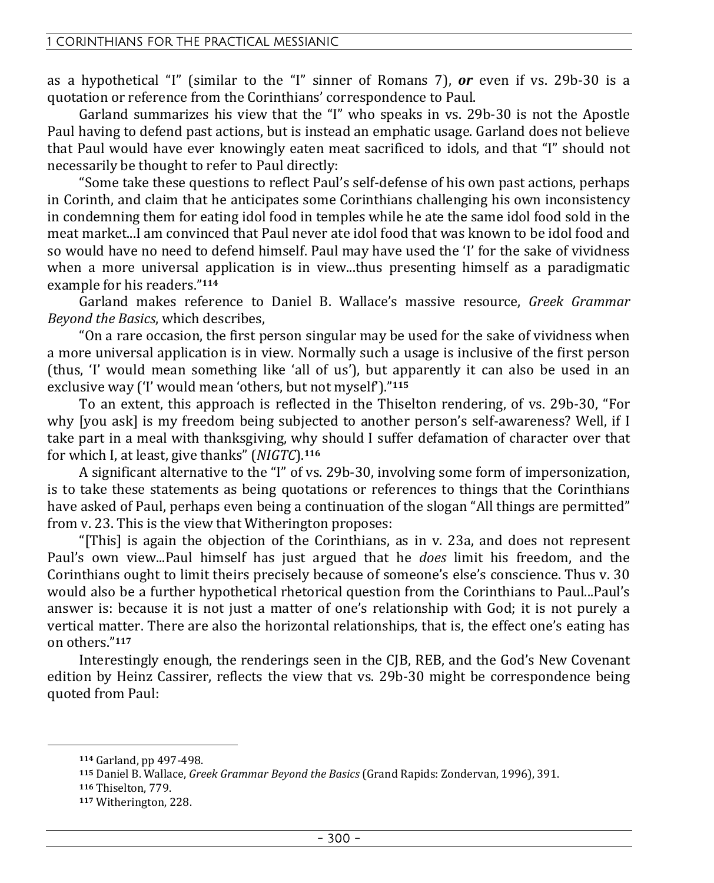as a hypothetical "I" (similar to the "I" sinner of Romans 7), *or* even if vs. 29b-30 is a quotation or reference from the Corinthians' correspondence to Paul.

Garland summarizes his view that the "I" who speaks in vs. 29b-30 is not the Apostle Paul having to defend past actions, but is instead an emphatic usage. Garland does not believe that Paul would have ever knowingly eaten meat sacrificed to idols, and that "I" should not necessarily be thought to refer to Paul directly:

"Some take these questions to reflect Paul's self-defense of his own past actions, perhaps in Corinth, and claim that he anticipates some Corinthians challenging his own inconsistency in condemning them for eating idol food in temples while he ate the same idol food sold in the meat market...I am convinced that Paul never ate idol food that was known to be idol food and so would have no need to defend himself. Paul may have used the 'I' for the sake of vividness when a more universal application is in view...thus presenting himself as a paradigmatic example for his readers."**<sup>114</sup>**

Garland makes reference to Daniel B. Wallace's massive resource, *Greek Grammar Beyond the Basics*, which describes,

"On a rare occasion, the first person singular may be used for the sake of vividness when a more universal application is in view. Normally such a usage is inclusive of the first person (thus, 'I' would mean something like 'all of us'), but apparently it can also be used in an exclusive way ('I' would mean 'others, but not myself')."**<sup>115</sup>**

To an extent, this approach is reflected in the Thiselton rendering, of vs. 29b-30, "For why [you ask] is my freedom being subjected to another person's self-awareness? Well, if I take part in a meal with thanksgiving, why should I suffer defamation of character over that for which I, at least, give thanks" (*NIGTC*).**<sup>116</sup>**

A significant alternative to the "I" of vs. 29b-30, involving some form of impersonization, is to take these statements as being quotations or references to things that the Corinthians have asked of Paul, perhaps even being a continuation of the slogan "All things are permitted" from v. 23. This is the view that Witherington proposes:

"[This] is again the objection of the Corinthians, as in v. 23a, and does not represent Paul's own view...Paul himself has just argued that he *does* limit his freedom, and the Corinthians ought to limit theirs precisely because of someone's else's conscience. Thus v. 30 would also be a further hypothetical rhetorical question from the Corinthians to Paul...Paul's answer is: because it is not just a matter of one's relationship with God; it is not purely a vertical matter. There are also the horizontal relationships, that is, the effect one's eating has on others."**<sup>117</sup>**

Interestingly enough, the renderings seen in the CJB, REB, and the God's New Covenant edition by Heinz Cassirer, reflects the view that vs. 29b-30 might be correspondence being quoted from Paul:

**<sup>114</sup>** Garland, pp 497-498.

**<sup>115</sup>** Daniel B. Wallace, *Greek Grammar Beyond the Basics* (Grand Rapids: Zondervan, 1996), 391.

**<sup>116</sup>** Thiselton, 779.

**<sup>117</sup>** Witherington, 228.